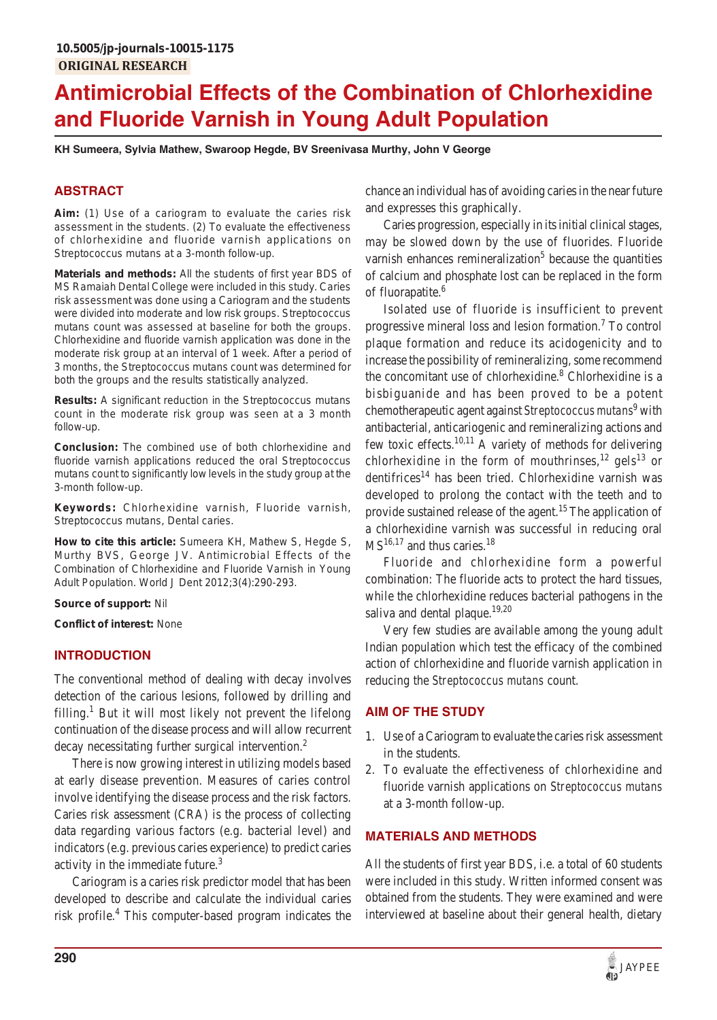# **Antimicrobial Effects of the Combination of Chlorhexidine and Fluoride Varnish in Young Adult Population**

**KH Sumeera, Sylvia Mathew, Swaroop Hegde, BV Sreenivasa Murthy, John V George**

# **ABSTRACT**

**Aim:** (1) Use of a cariogram to evaluate the caries risk assessment in the students. (2) To evaluate the effectiveness of chlorhexidine and fluoride varnish applications on *Streptococcus mutans* at a 3-month follow-up.

**Materials and methods:** All the students of first year BDS of MS Ramaiah Dental College were included in this study. Caries risk assessment was done using a Cariogram and the students were divided into moderate and low risk groups. *Streptococcus mutans* count was assessed at baseline for both the groups. Chlorhexidine and fluoride varnish application was done in the moderate risk group at an interval of 1 week. After a period of 3 months, the *Streptococcus mutans* count was determined for both the groups and the results statistically analyzed.

**Results:** A significant reduction in the *Streptococcus mutans* count in the moderate risk group was seen at a 3 month follow-up.

**Conclusion:** The combined use of both chlorhexidine and fluoride varnish applications reduced the oral *Streptococcus mutans* count to significantly low levels in the study group at the 3-month follow-up.

**Keywords:** Chlorhexidine varnish, Fluoride varnish, *Streptococcus mutans*, Dental caries.

**How to cite this article:** Sumeera KH, Mathew S, Hegde S, Murthy BVS, George JV. Antimicrobial Effects of the Combination of Chlorhexidine and Fluoride Varnish in Young Adult Population. World J Dent 2012;3(4):290-293.

**Source of support:** Nil

**Conflict of interest:** None

# **INTRODUCTION**

The conventional method of dealing with decay involves detection of the carious lesions, followed by drilling and filling.<sup>1</sup> But it will most likely not prevent the lifelong continuation of the disease process and will allow recurrent decay necessitating further surgical intervention.<sup>2</sup>

There is now growing interest in utilizing models based at early disease prevention. Measures of caries control involve identifying the disease process and the risk factors. Caries risk assessment (CRA) is the process of collecting data regarding various factors (e.g. bacterial level) and indicators (e.g. previous caries experience) to predict caries activity in the immediate future.<sup>3</sup>

Cariogram is a caries risk predictor model that has been developed to describe and calculate the individual caries risk profile.4 This computer-based program indicates the

chance an individual has of avoiding caries in the near future and expresses this graphically.

Caries progression, especially in its initial clinical stages, may be slowed down by the use of fluorides. Fluoride varnish enhances remineralization<sup>5</sup> because the quantities of calcium and phosphate lost can be replaced in the form of fluorapatite.<sup>6</sup>

Isolated use of fluoride is insufficient to prevent progressive mineral loss and lesion formation.<sup>7</sup> To control plaque formation and reduce its acidogenicity and to increase the possibility of remineralizing, some recommend the concomitant use of chlorhexidine.<sup>8</sup> Chlorhexidine is a bisbiguanide and has been proved to be a potent chemotherapeutic agent against *Streptococcus mutans*<sup>9</sup> with antibacterial, anticariogenic and remineralizing actions and few toxic effects.<sup>10,11</sup> A variety of methods for delivering chlorhexidine in the form of mouthrinses,  $^{12}$  gels<sup>13</sup> or dentifrices<sup>14</sup> has been tried. Chlorhexidine varnish was developed to prolong the contact with the teeth and to provide sustained release of the agent.<sup>15</sup> The application of a chlorhexidine varnish was successful in reducing oral  $MS<sup>16,17</sup>$  and thus caries.<sup>18</sup>

Fluoride and chlorhexidine form a powerful combination: The fluoride acts to protect the hard tissues, while the chlorhexidine reduces bacterial pathogens in the saliva and dental plaque.<sup>19,20</sup>

Very few studies are available among the young adult Indian population which test the efficacy of the combined action of chlorhexidine and fluoride varnish application in reducing the *Streptococcus mutans* count.

# **AIM OF THE STUDY**

- 1. Use of a Cariogram to evaluate the caries risk assessment in the students.
- 2. To evaluate the effectiveness of chlorhexidine and fluoride varnish applications on *Streptococcus mutans* at a 3-month follow-up.

# **MATERIALS AND METHODS**

All the students of first year BDS, i.e. a total of 60 students were included in this study. Written informed consent was obtained from the students. They were examined and were interviewed at baseline about their general health, dietary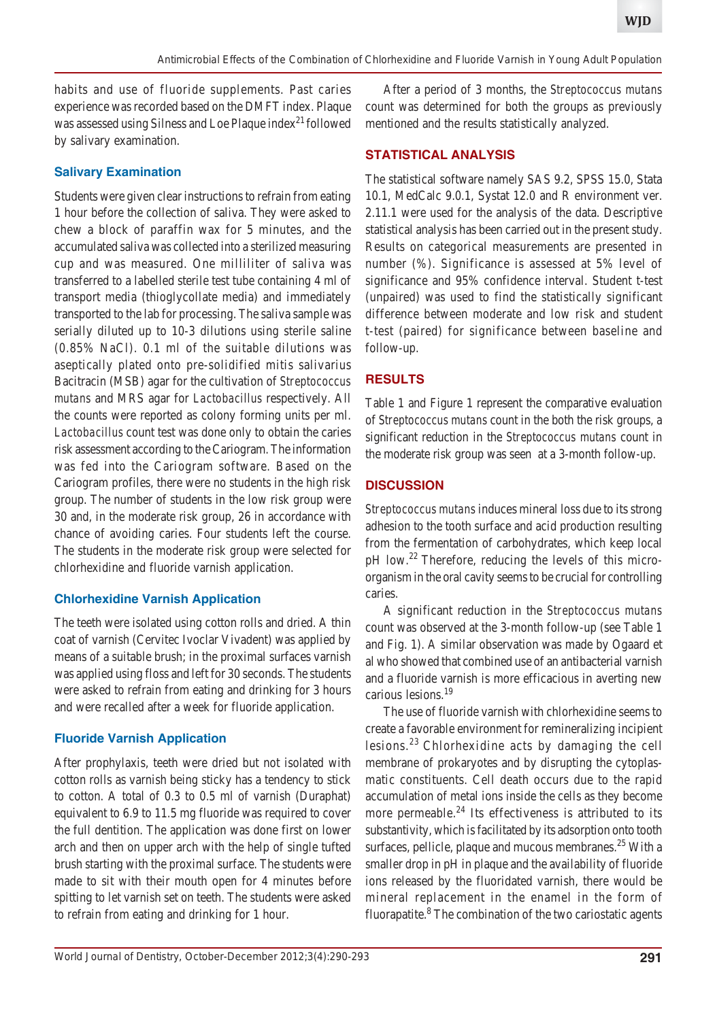habits and use of fluoride supplements. Past caries experience was recorded based on the DMFT index. Plaque was assessed using Silness and Loe Plaque index<sup>21</sup> followed by salivary examination.

## **Salivary Examination**

Students were given clear instructions to refrain from eating 1 hour before the collection of saliva. They were asked to chew a block of paraffin wax for 5 minutes, and the accumulated saliva was collected into a sterilized measuring cup and was measured. One milliliter of saliva was transferred to a labelled sterile test tube containing 4 ml of transport media (thioglycollate media) and immediately transported to the lab for processing. The saliva sample was serially diluted up to 10-3 dilutions using sterile saline (0.85% NaCl). 0.1 ml of the suitable dilutions was aseptically plated onto pre-solidified mitis salivarius Bacitracin (MSB) agar for the cultivation of *Streptococcus mutans* and MRS agar for *Lactobacillus* respectively. All the counts were reported as colony forming units per ml. *Lactobacillus* count test was done only to obtain the caries risk assessment according to the Cariogram. The information was fed into the Cariogram software. Based on the Cariogram profiles, there were no students in the high risk group. The number of students in the low risk group were 30 and, in the moderate risk group, 26 in accordance with chance of avoiding caries. Four students left the course. The students in the moderate risk group were selected for chlorhexidine and fluoride varnish application.

## **Chlorhexidine Varnish Application**

The teeth were isolated using cotton rolls and dried. A thin coat of varnish (Cervitec Ivoclar Vivadent) was applied by means of a suitable brush; in the proximal surfaces varnish was applied using floss and left for 30 seconds. The students were asked to refrain from eating and drinking for 3 hours and were recalled after a week for fluoride application.

## **Fluoride Varnish Application**

After prophylaxis, teeth were dried but not isolated with cotton rolls as varnish being sticky has a tendency to stick to cotton. A total of 0.3 to 0.5 ml of varnish (Duraphat) equivalent to 6.9 to 11.5 mg fluoride was required to cover the full dentition. The application was done first on lower arch and then on upper arch with the help of single tufted brush starting with the proximal surface. The students were made to sit with their mouth open for 4 minutes before spitting to let varnish set on teeth. The students were asked to refrain from eating and drinking for 1 hour.

After a period of 3 months, the *Streptococcus mutans* count was determined for both the groups as previously mentioned and the results statistically analyzed.

#### **STATISTICAL ANALYSIS**

The statistical software namely SAS 9.2, SPSS 15.0, Stata 10.1, MedCalc 9.0.1, Systat 12.0 and R environment ver. 2.11.1 were used for the analysis of the data. Descriptive statistical analysis has been carried out in the present study. Results on categorical measurements are presented in number (%). Significance is assessed at 5% level of significance and 95% confidence interval. Student t-test (unpaired) was used to find the statistically significant difference between moderate and low risk and student t-test (paired) for significance between baseline and follow-up.

### **RESULTS**

Table 1 and Figure 1 represent the comparative evaluation of *Streptococcus mutans* count in the both the risk groups, a significant reduction in the *Streptococcus mutans* count in the moderate risk group was seen at a 3-month follow-up.

### **DISCUSSION**

*Streptococcus mutans* induces mineral loss due to its strong adhesion to the tooth surface and acid production resulting from the fermentation of carbohydrates, which keep local pH low.<sup>22</sup> Therefore, reducing the levels of this microorganism in the oral cavity seems to be crucial for controlling caries.

A significant reduction in the *Streptococcus mutans* count was observed at the 3-month follow-up (see Table 1 and Fig. 1). A similar observation was made by Ogaard et al who showed that combined use of an antibacterial varnish and a fluoride varnish is more efficacious in averting new carious lesions.<sup>19</sup>

The use of fluoride varnish with chlorhexidine seems to create a favorable environment for remineralizing incipient lesions.<sup>23</sup> Chlorhexidine acts by damaging the cell membrane of prokaryotes and by disrupting the cytoplasmatic constituents. Cell death occurs due to the rapid accumulation of metal ions inside the cells as they become more permeable.<sup>24</sup> Its effectiveness is attributed to its substantivity, which is facilitated by its adsorption onto tooth surfaces, pellicle, plaque and mucous membranes.<sup>25</sup> With a smaller drop in pH in plaque and the availability of fluoride ions released by the fluoridated varnish, there would be mineral replacement in the enamel in the form of fluorapatite.<sup>8</sup> The combination of the two cariostatic agents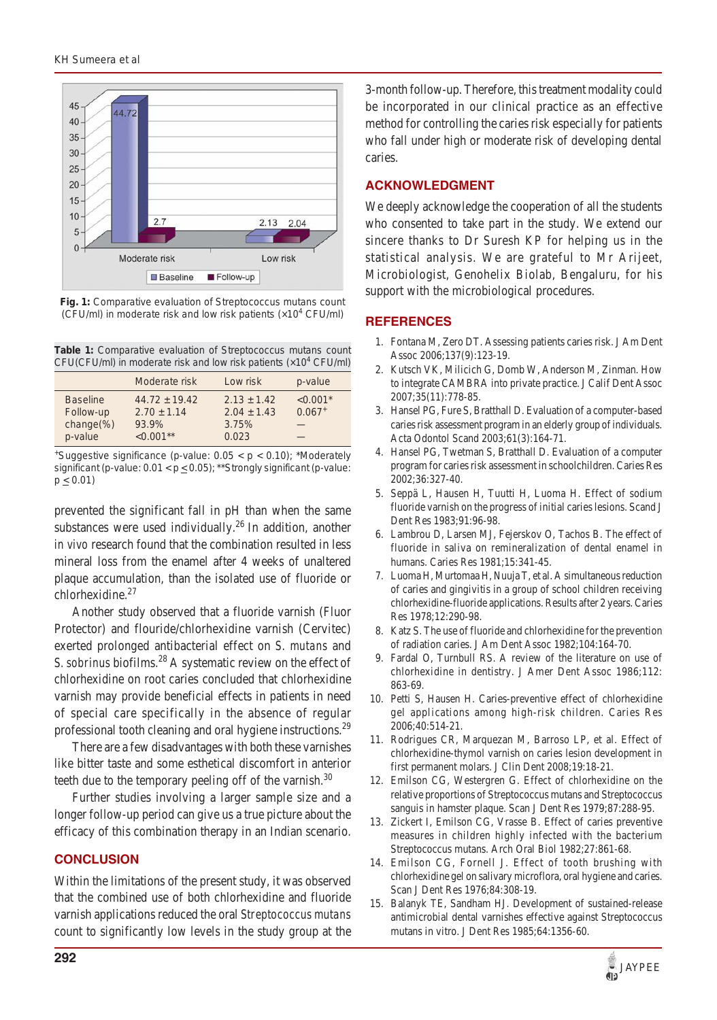

**Fig. 1:** Comparative evaluation of *Streptococcus mutans* count (CFU/ml) in moderate risk and low risk patients (x10<sup>4</sup> CFU/ml)

**Table 1:** Comparative evaluation of *Streptococcus mutans* count CFU(CFU/ml) in moderate risk and low risk patients (x10<sup>4</sup> CFU/ml)

|                                                        | Moderate risk                                                | Low risk                                             | p-value                |  |
|--------------------------------------------------------|--------------------------------------------------------------|------------------------------------------------------|------------------------|--|
| <b>Baseline</b><br>Follow-up<br>$change$ %)<br>p-value | $44.72 \pm 19.42$<br>$2.70 \pm 1.14$<br>93.9%<br>$< 0.001**$ | $2.13 \pm 1.42$<br>$2.04 \pm 1.43$<br>3.75%<br>0.023 | $< 0.001*$<br>$0.067+$ |  |
|                                                        |                                                              |                                                      |                        |  |

 $*$ Suggestive significance (p-value:  $0.05 < p < 0.10$ ); \*Moderately significant (p-value:  $0.01 < p \leq 0.05$ ); \*\*Strongly significant (p-value:  $p < 0.01$ )

prevented the significant fall in pH than when the same substances were used individually.<sup>26</sup> In addition, another *in vivo* research found that the combination resulted in less mineral loss from the enamel after 4 weeks of unaltered plaque accumulation, than the isolated use of fluoride or chlorhexidine. $27$ 

Another study observed that a fluoride varnish (Fluor Protector) and flouride/chlorhexidine varnish (Cervitec) exerted prolonged antibacterial effect on *S. mutans* and *S. sobrinus* biofilms.<sup>28</sup> A systematic review on the effect of chlorhexidine on root caries concluded that chlorhexidine varnish may provide beneficial effects in patients in need of special care specifically in the absence of regular professional tooth cleaning and oral hygiene instructions.<sup>29</sup>

There are a few disadvantages with both these varnishes like bitter taste and some esthetical discomfort in anterior teeth due to the temporary peeling off of the varnish. $30$ 

Further studies involving a larger sample size and a longer follow-up period can give us a true picture about the efficacy of this combination therapy in an Indian scenario.

#### **CONCLUSION**

Within the limitations of the present study, it was observed that the combined use of both chlorhexidine and fluoride varnish applications reduced the oral *Streptococcus mutans* count to significantly low levels in the study group at the

3-month follow-up. Therefore, this treatment modality could be incorporated in our clinical practice as an effective method for controlling the caries risk especially for patients who fall under high or moderate risk of developing dental caries.

## **ACKNOWLEDGMENT**

We deeply acknowledge the cooperation of all the students who consented to take part in the study. We extend our sincere thanks to Dr Suresh KP for helping us in the statistical analysis. We are grateful to Mr Arijeet, Microbiologist, Genohelix Biolab, Bengaluru, for his support with the microbiological procedures.

#### **REFERENCES**

- 1. Fontana M, Zero DT. Assessing patients caries risk. J Am Dent Assoc 2006;137(9):123-19.
- 2. Kutsch VK, Milicich G, Domb W, Anderson M, Zinman. How to integrate CAMBRA into private practice. J Calif Dent Assoc 2007;35(11):778-85.
- 3. Hansel PG, Fure S, Bratthall D. Evaluation of a computer-based caries risk assessment program in an elderly group of individuals. Acta Odontol Scand 2003;61(3):164-71.
- 4. Hansel PG, Twetman S, Bratthall D. Evaluation of a computer program for caries risk assessment in schoolchildren. Caries Res 2002;36:327-40.
- 5. Seppä L, Hausen H, Tuutti H, Luoma H. Effect of sodium fluoride varnish on the progress of initial caries lesions. Scand J Dent Res 1983;91:96-98.
- 6. Lambrou D, Larsen MJ, Fejerskov O, Tachos B. The effect of fluoride in saliva on remineralization of dental enamel in humans. Caries Res 1981;15:341-45.
- 7. Luoma H, Murtomaa H, Nuuja T, et al. A simultaneous reduction of caries and gingivitis in a group of school children receiving chlorhexidine-fluoride applications. Results after 2 years. Caries Res 1978;12:290-98.
- 8. Katz S. The use of fluoride and chlorhexidine for the prevention of radiation caries. J Am Dent Assoc 1982;104:164-70.
- Fardal O, Turnbull RS. A review of the literature on use of chlorhexidine in dentistry. J Amer Dent Assoc 1986;112: 863-69.
- 10. Petti S, Hausen H. Caries-preventive effect of chlorhexidine gel applications among high-risk children. Caries Res 2006;40:514-21.
- 11. Rodrigues CR, Marquezan M, Barroso LP, et al. Effect of chlorhexidine-thymol varnish on caries lesion development in first permanent molars. J Clin Dent 2008;19:18-21.
- 12. Emilson CG, Westergren G. Effect of chlorhexidine on the relative proportions of Streptococcus mutans and Streptococcus sanguis in hamster plaque. Scan J Dent Res 1979;87:288-95.
- 13. Zickert I, Emilson CG, Vrasse B. Effect of caries preventive measures in children highly infected with the bacterium Streptococcus mutans. Arch Oral Biol 1982;27:861-68.
- 14. Emilson CG, Fornell J. Effect of tooth brushing with chlorhexidine gel on salivary microflora, oral hygiene and caries. Scan J Dent Res 1976;84:308-19.
- 15. Balanyk TE, Sandham HJ. Development of sustained-release antimicrobial dental varnishes effective against Streptococcus mutans in vitro. J Dent Res 1985;64:1356-60.